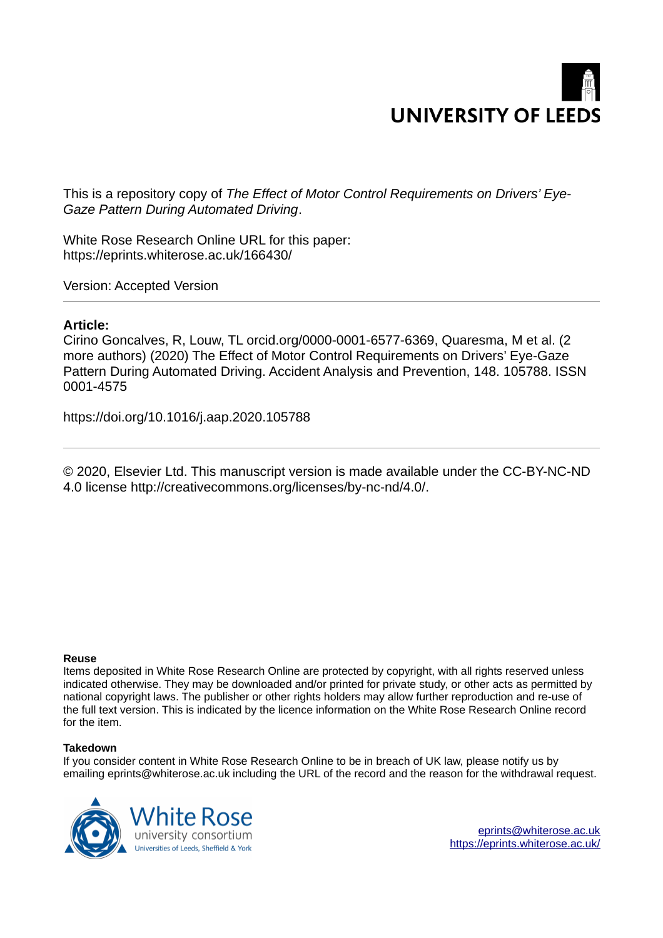

This is a repository copy of *The Effect of Motor Control Requirements on Drivers' Eye-Gaze Pattern During Automated Driving*.

White Rose Research Online URL for this paper: https://eprints.whiterose.ac.uk/166430/

Version: Accepted Version

# **Article:**

Cirino Goncalves, R, Louw, TL orcid.org/0000-0001-6577-6369, Quaresma, M et al. (2 more authors) (2020) The Effect of Motor Control Requirements on Drivers' Eye-Gaze Pattern During Automated Driving. Accident Analysis and Prevention, 148. 105788. ISSN 0001-4575

https://doi.org/10.1016/j.aap.2020.105788

© 2020, Elsevier Ltd. This manuscript version is made available under the CC-BY-NC-ND 4.0 license http://creativecommons.org/licenses/by-nc-nd/4.0/.

## **Reuse**

Items deposited in White Rose Research Online are protected by copyright, with all rights reserved unless indicated otherwise. They may be downloaded and/or printed for private study, or other acts as permitted by national copyright laws. The publisher or other rights holders may allow further reproduction and re-use of the full text version. This is indicated by the licence information on the White Rose Research Online record for the item.

# **Takedown**

If you consider content in White Rose Research Online to be in breach of UK law, please notify us by emailing eprints@whiterose.ac.uk including the URL of the record and the reason for the withdrawal request.



eprints@whiterose.ac.uk https://eprints.whiterose.ac.uk/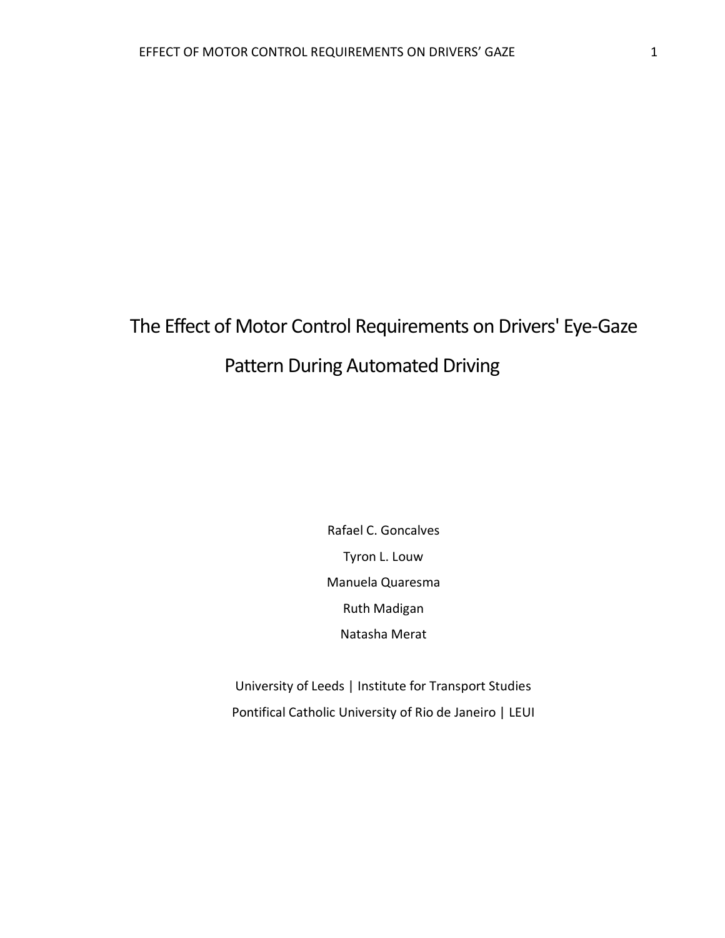# The Effect of Motor Control Requirements on Drivers' Eye-Gaze Pattern During Automated Driving

Rafael C. Goncalves Tyron L. Louw Manuela Quaresma Ruth Madigan Natasha Merat

University of Leeds | Institute for Transport Studies Pontifical Catholic University of Rio de Janeiro | LEUI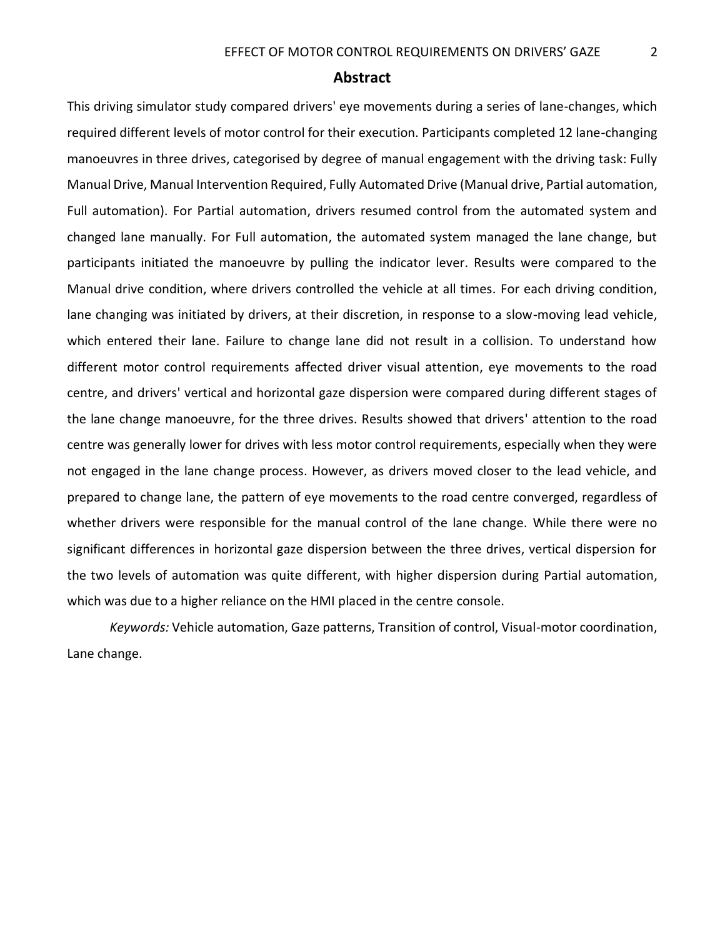# **Abstract**

This driving simulator study compared drivers' eye movements during a series of lane-changes, which required different levels of motor control for their execution. Participants completed 12 lane-changing manoeuvres in three drives, categorised by degree of manual engagement with the driving task: Fully Manual Drive, Manual Intervention Required, Fully Automated Drive (Manual drive, Partial automation, Full automation). For Partial automation, drivers resumed control from the automated system and changed lane manually. For Full automation, the automated system managed the lane change, but participants initiated the manoeuvre by pulling the indicator lever. Results were compared to the Manual drive condition, where drivers controlled the vehicle at all times. For each driving condition, lane changing was initiated by drivers, at their discretion, in response to a slow-moving lead vehicle, which entered their lane. Failure to change lane did not result in a collision. To understand how different motor control requirements affected driver visual attention, eye movements to the road centre, and drivers' vertical and horizontal gaze dispersion were compared during different stages of the lane change manoeuvre, for the three drives. Results showed that drivers' attention to the road centre was generally lower for drives with less motor control requirements, especially when they were not engaged in the lane change process. However, as drivers moved closer to the lead vehicle, and prepared to change lane, the pattern of eye movements to the road centre converged, regardless of whether drivers were responsible for the manual control of the lane change. While there were no significant differences in horizontal gaze dispersion between the three drives, vertical dispersion for the two levels of automation was quite different, with higher dispersion during Partial automation, which was due to a higher reliance on the HMI placed in the centre console.

*Keywords:* Vehicle automation, Gaze patterns, Transition of control, Visual-motor coordination, Lane change.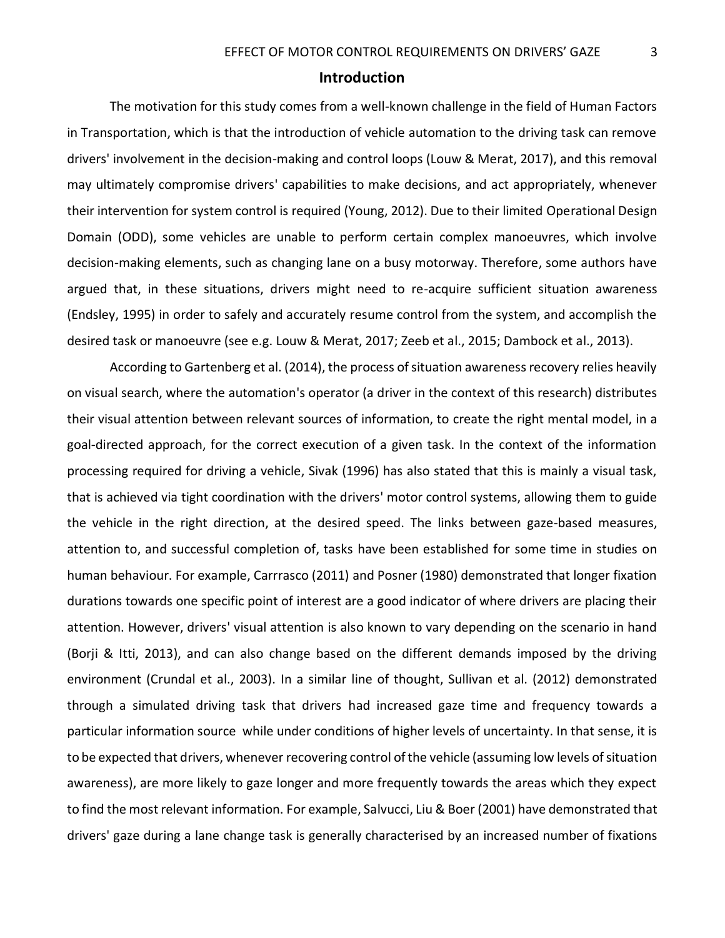# **Introduction**

The motivation for this study comes from a well-known challenge in the field of Human Factors in Transportation, which is that the introduction of vehicle automation to the driving task can remove drivers' involvement in the decision-making and control loops (Louw & Merat, 2017), and this removal may ultimately compromise drivers' capabilities to make decisions, and act appropriately, whenever their intervention for system control is required (Young, 2012). Due to their limited Operational Design Domain (ODD), some vehicles are unable to perform certain complex manoeuvres, which involve decision-making elements, such as changing lane on a busy motorway. Therefore, some authors have argued that, in these situations, drivers might need to re-acquire sufficient situation awareness (Endsley, 1995) in order to safely and accurately resume control from the system, and accomplish the desired task or manoeuvre (see e.g. Louw & Merat, 2017; Zeeb et al., 2015; Dambock et al., 2013).

According to Gartenberg et al. (2014), the process of situation awareness recovery relies heavily on visual search, where the automation's operator (a driver in the context of this research) distributes their visual attention between relevant sources of information, to create the right mental model, in a goal-directed approach, for the correct execution of a given task. In the context of the information processing required for driving a vehicle, Sivak (1996) has also stated that this is mainly a visual task, that is achieved via tight coordination with the drivers' motor control systems, allowing them to guide the vehicle in the right direction, at the desired speed. The links between gaze-based measures, attention to, and successful completion of, tasks have been established for some time in studies on human behaviour. For example, Carrrasco (2011) and Posner (1980) demonstrated that longer fixation durations towards one specific point of interest are a good indicator of where drivers are placing their attention. However, drivers' visual attention is also known to vary depending on the scenario in hand (Borji & Itti, 2013), and can also change based on the different demands imposed by the driving environment (Crundal et al., 2003). In a similar line of thought, Sullivan et al. (2012) demonstrated through a simulated driving task that drivers had increased gaze time and frequency towards a particular information source while under conditions of higher levels of uncertainty. In that sense, it is to be expected that drivers, whenever recovering control of the vehicle (assuming low levels of situation awareness), are more likely to gaze longer and more frequently towards the areas which they expect to find the most relevant information. For example, Salvucci, Liu & Boer (2001) have demonstrated that drivers' gaze during a lane change task is generally characterised by an increased number of fixations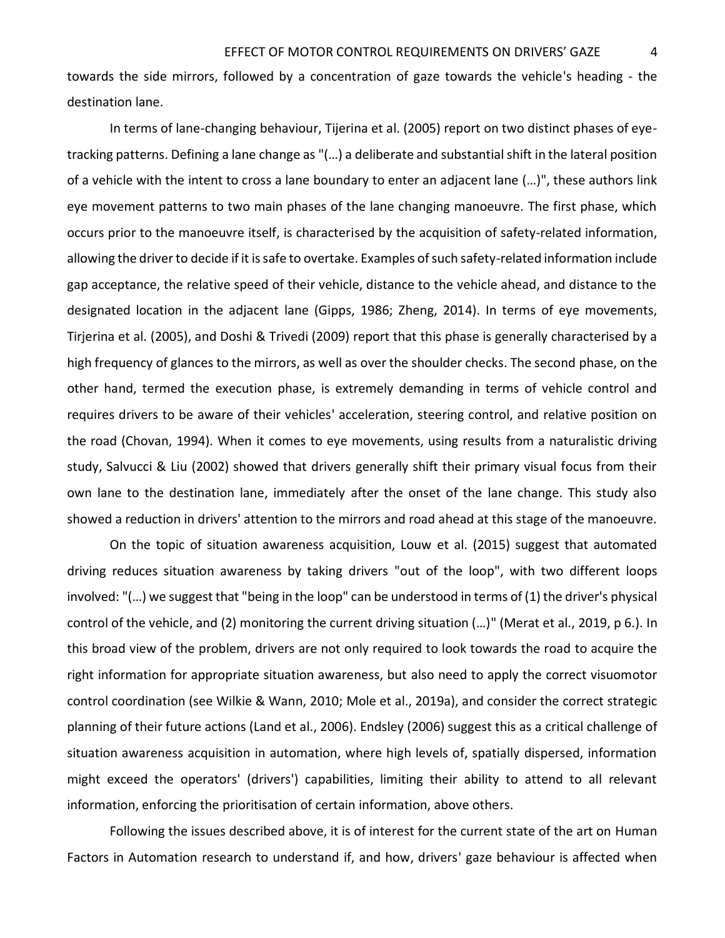towards the side mirrors, followed by a concentration of gaze towards the vehicle's heading - the destination lane.

In terms of lane-changing behaviour, Tijerina et al. (2005) report on two distinct phases of eyetracking patterns. Defining a lane change as "(…) a deliberate and substantial shift in the lateral position of a vehicle with the intent to cross a lane boundary to enter an adjacent lane (…)", these authors link eye movement patterns to two main phases of the lane changing manoeuvre. The first phase, which occurs prior to the manoeuvre itself, is characterised by the acquisition of safety-related information, allowing the driver to decide if it is safe to overtake. Examples of such safety-related information include gap acceptance, the relative speed of their vehicle, distance to the vehicle ahead, and distance to the designated location in the adjacent lane (Gipps, 1986; Zheng, 2014). In terms of eye movements, Tirjerina et al. (2005), and Doshi & Trivedi (2009) report that this phase is generally characterised by a high frequency of glances to the mirrors, as well as over the shoulder checks. The second phase, on the other hand, termed the execution phase, is extremely demanding in terms of vehicle control and requires drivers to be aware of their vehicles' acceleration, steering control, and relative position on the road (Chovan, 1994). When it comes to eye movements, using results from a naturalistic driving study, Salvucci & Liu (2002) showed that drivers generally shift their primary visual focus from their own lane to the destination lane, immediately after the onset of the lane change. This study also showed a reduction in drivers' attention to the mirrors and road ahead at this stage of the manoeuvre.

On the topic of situation awareness acquisition, Louw et al. (2015) suggest that automated driving reduces situation awareness by taking drivers "out of the loop", with two different loops involved: "(…) we suggest that "being in the loop" can be understood in terms of (1) the driver's physical control of the vehicle, and (2) monitoring the current driving situation (…)" (Merat et al., 2019, p 6.). In this broad view of the problem, drivers are not only required to look towards the road to acquire the right information for appropriate situation awareness, but also need to apply the correct visuomotor control coordination (see Wilkie & Wann, 2010; Mole et al., 2019a), and consider the correct strategic planning of their future actions (Land et al., 2006). Endsley (2006) suggest this as a critical challenge of situation awareness acquisition in automation, where high levels of, spatially dispersed, information might exceed the operators' (drivers') capabilities, limiting their ability to attend to all relevant information, enforcing the prioritisation of certain information, above others.

Following the issues described above, it is of interest for the current state of the art on Human Factors in Automation research to understand if, and how, drivers' gaze behaviour is affected when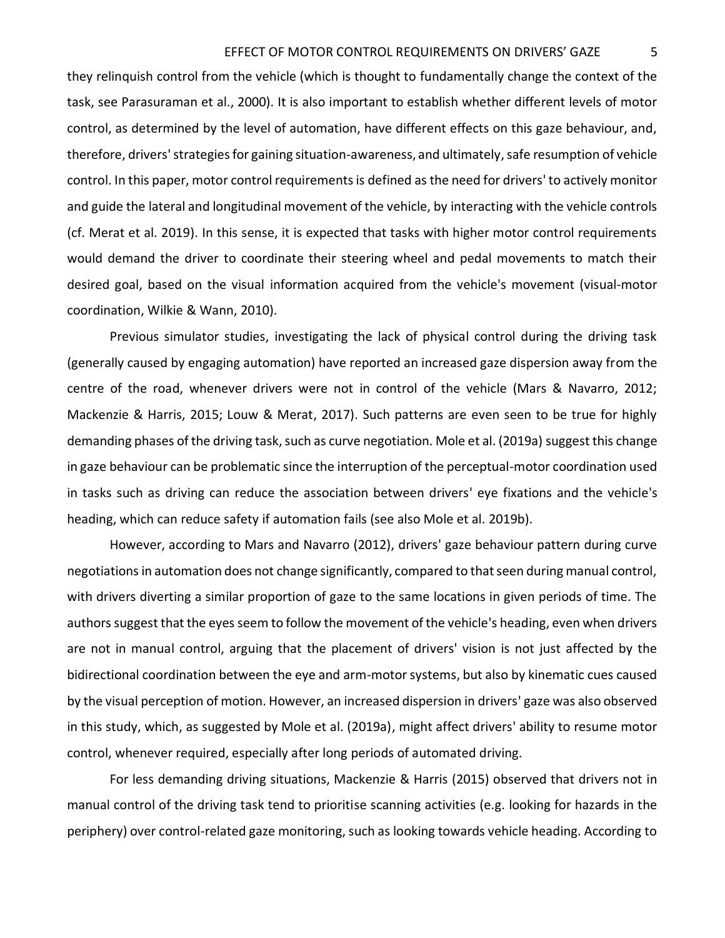## EFFECT OF MOTOR CONTROL REQUIREMENTS ON DRIVERS' GAZE 5

they relinquish control from the vehicle (which is thought to fundamentally change the context of the task, see Parasuraman et al., 2000). It is also important to establish whether different levels of motor control, as determined by the level of automation, have different effects on this gaze behaviour, and, therefore, drivers' strategies for gaining situation-awareness, and ultimately, safe resumption of vehicle control. In this paper, motor control requirements is defined as the need for drivers' to actively monitor and guide the lateral and longitudinal movement of the vehicle, by interacting with the vehicle controls (cf. Merat et al. 2019). In this sense, it is expected that tasks with higher motor control requirements would demand the driver to coordinate their steering wheel and pedal movements to match their desired goal, based on the visual information acquired from the vehicle's movement (visual-motor coordination, Wilkie & Wann, 2010).

Previous simulator studies, investigating the lack of physical control during the driving task (generally caused by engaging automation) have reported an increased gaze dispersion away from the centre of the road, whenever drivers were not in control of the vehicle (Mars & Navarro, 2012; Mackenzie & Harris, 2015; Louw & Merat, 2017). Such patterns are even seen to be true for highly demanding phases of the driving task, such as curve negotiation. Mole et al. (2019a) suggest this change in gaze behaviour can be problematic since the interruption of the perceptual-motor coordination used in tasks such as driving can reduce the association between drivers' eye fixations and the vehicle's heading, which can reduce safety if automation fails (see also Mole et al. 2019b).

However, according to Mars and Navarro (2012), drivers' gaze behaviour pattern during curve negotiations in automation does not change significantly, compared to that seen during manual control, with drivers diverting a similar proportion of gaze to the same locations in given periods of time. The authors suggest that the eyes seem to follow the movement of the vehicle's heading, even when drivers are not in manual control, arguing that the placement of drivers' vision is not just affected by the bidirectional coordination between the eye and arm-motor systems, but also by kinematic cues caused by the visual perception of motion. However, an increased dispersion in drivers' gaze was also observed in this study, which, as suggested by Mole et al. (2019a), might affect drivers' ability to resume motor control, whenever required, especially after long periods of automated driving.

For less demanding driving situations, Mackenzie & Harris (2015) observed that drivers not in manual control of the driving task tend to prioritise scanning activities (e.g. looking for hazards in the periphery) over control-related gaze monitoring, such as looking towards vehicle heading. According to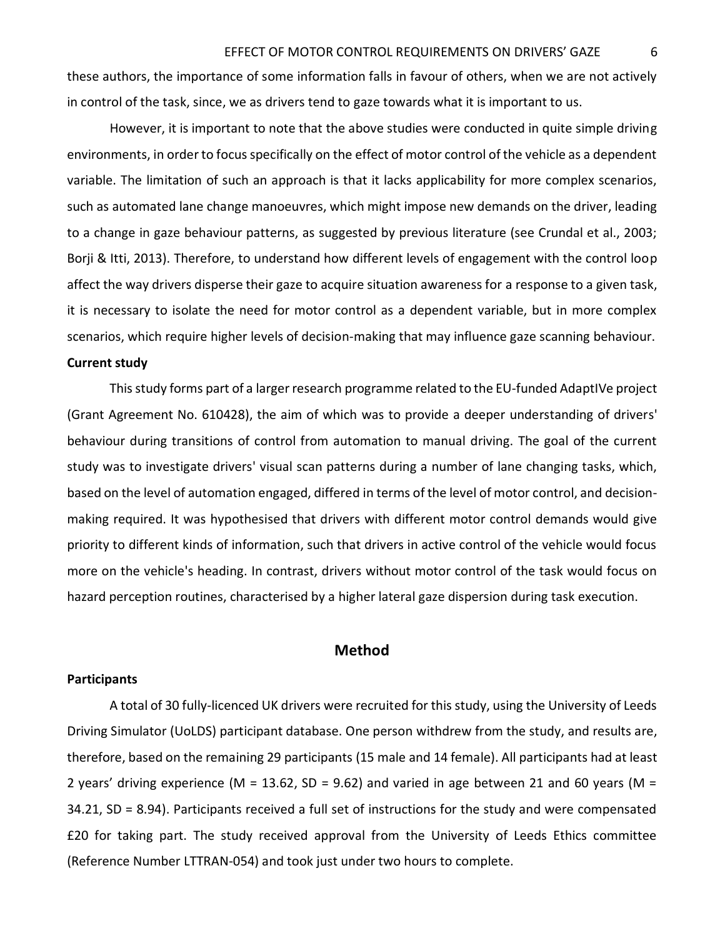these authors, the importance of some information falls in favour of others, when we are not actively in control of the task, since, we as drivers tend to gaze towards what it is important to us.

However, it is important to note that the above studies were conducted in quite simple driving environments, in order to focus specifically on the effect of motor control of the vehicle as a dependent variable. The limitation of such an approach is that it lacks applicability for more complex scenarios, such as automated lane change manoeuvres, which might impose new demands on the driver, leading to a change in gaze behaviour patterns, as suggested by previous literature (see Crundal et al., 2003; Borji & Itti, 2013). Therefore, to understand how different levels of engagement with the control loop affect the way drivers disperse their gaze to acquire situation awareness for a response to a given task, it is necessary to isolate the need for motor control as a dependent variable, but in more complex scenarios, which require higher levels of decision-making that may influence gaze scanning behaviour.

## **Current study**

This study forms part of a larger research programme related to the EU-funded AdaptIVe project (Grant Agreement No. 610428), the aim of which was to provide a deeper understanding of drivers' behaviour during transitions of control from automation to manual driving. The goal of the current study was to investigate drivers' visual scan patterns during a number of lane changing tasks, which, based on the level of automation engaged, differed in terms of the level of motor control, and decisionmaking required. It was hypothesised that drivers with different motor control demands would give priority to different kinds of information, such that drivers in active control of the vehicle would focus more on the vehicle's heading. In contrast, drivers without motor control of the task would focus on hazard perception routines, characterised by a higher lateral gaze dispersion during task execution.

# **Method**

# **Participants**

A total of 30 fully-licenced UK drivers were recruited for this study, using the University of Leeds Driving Simulator (UoLDS) participant database. One person withdrew from the study, and results are, therefore, based on the remaining 29 participants (15 male and 14 female). All participants had at least 2 years' driving experience (M = 13.62, SD = 9.62) and varied in age between 21 and 60 years (M = 34.21, SD = 8.94). Participants received a full set of instructions for the study and were compensated £20 for taking part. The study received approval from the University of Leeds Ethics committee (Reference Number LTTRAN-054) and took just under two hours to complete.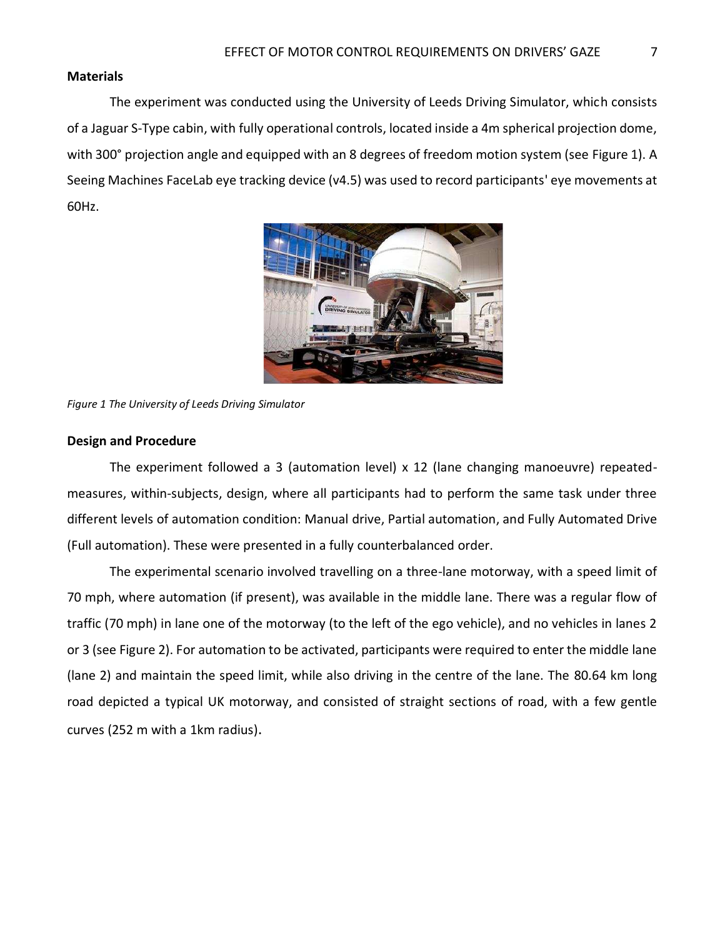# **Materials**

The experiment was conducted using the University of Leeds Driving Simulator, which consists of a Jaguar S-Type cabin, with fully operational controls, located inside a 4m spherical projection dome, with 300° projection angle and equipped with an 8 degrees of freedom motion system (see [Figure 1\)](#page-7-0). A Seeing Machines FaceLab eye tracking device (v4.5) was used to record participants' eye movements at 60Hz.



*Figure 1 The University of Leeds Driving Simulator* 

#### <span id="page-7-0"></span>**Design and Procedure**

The experiment followed a 3 (automation level) x 12 (lane changing manoeuvre) repeatedmeasures, within-subjects, design, where all participants had to perform the same task under three different levels of automation condition: Manual drive, Partial automation, and Fully Automated Drive (Full automation). These were presented in a fully counterbalanced order.

The experimental scenario involved travelling on a three-lane motorway, with a speed limit of 70 mph, where automation (if present), was available in the middle lane. There was a regular flow of traffic (70 mph) in lane one of the motorway (to the left of the ego vehicle), and no vehicles in lanes 2 or 3 (see [Figure 2\)](#page-8-0). For automation to be activated, participants were required to enter the middle lane (lane 2) and maintain the speed limit, while also driving in the centre of the lane. The 80.64 km long road depicted a typical UK motorway, and consisted of straight sections of road, with a few gentle curves (252 m with a 1km radius).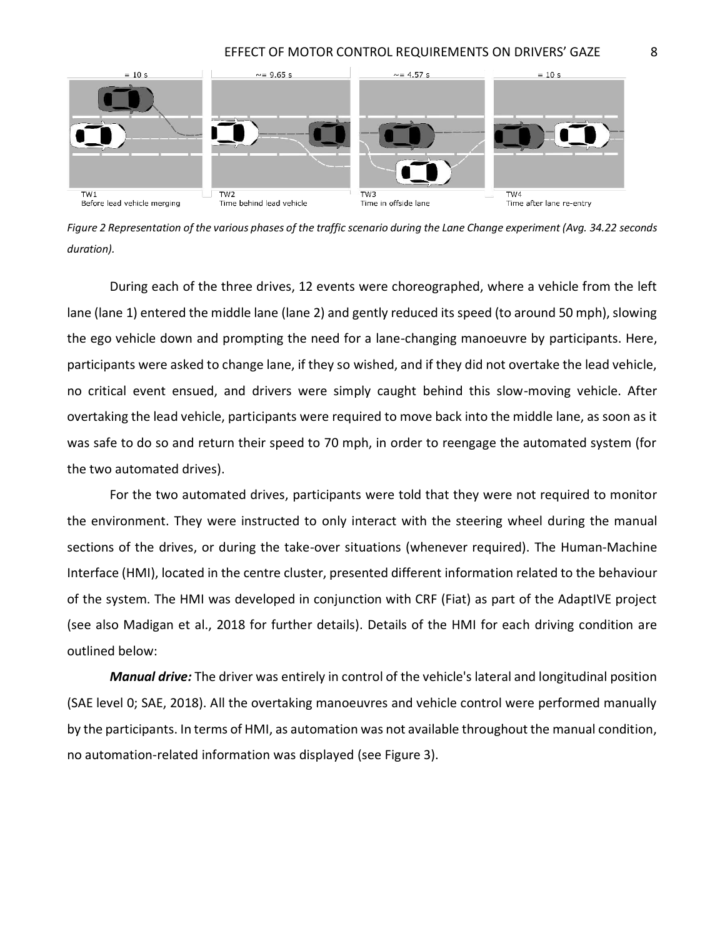

<span id="page-8-0"></span>*Figure 2 Representation of the various phases of the traffic scenario during the Lane Change experiment (Avg. 34.22 seconds duration).* 

During each of the three drives, 12 events were choreographed, where a vehicle from the left lane (lane 1) entered the middle lane (lane 2) and gently reduced its speed (to around 50 mph), slowing the ego vehicle down and prompting the need for a lane-changing manoeuvre by participants. Here, participants were asked to change lane, if they so wished, and if they did not overtake the lead vehicle, no critical event ensued, and drivers were simply caught behind this slow-moving vehicle. After overtaking the lead vehicle, participants were required to move back into the middle lane, as soon as it was safe to do so and return their speed to 70 mph, in order to reengage the automated system (for the two automated drives).

For the two automated drives, participants were told that they were not required to monitor the environment. They were instructed to only interact with the steering wheel during the manual sections of the drives, or during the take-over situations (whenever required). The Human-Machine Interface (HMI), located in the centre cluster, presented different information related to the behaviour of the system. The HMI was developed in conjunction with CRF (Fiat) as part of the AdaptIVE project (see also Madigan et al., 2018 for further details). Details of the HMI for each driving condition are outlined below:

*Manual drive:* The driver was entirely in control of the vehicle's lateral and longitudinal position (SAE level 0; SAE, 2018). All the overtaking manoeuvres and vehicle control were performed manually by the participants. In terms of HMI, as automation was not available throughout the manual condition, no automation-related information was displayed (see [Figure 3\)](#page-9-0).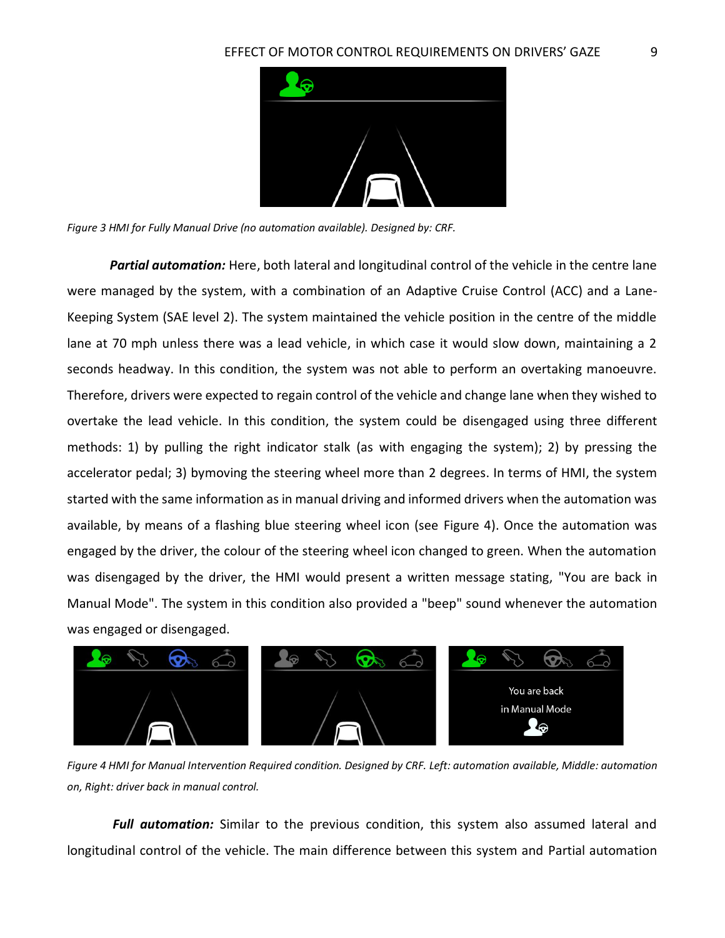

<span id="page-9-0"></span>*Figure 3 HMI for Fully Manual Drive (no automation available). Designed by: CRF.* 

*Partial automation:* Here, both lateral and longitudinal control of the vehicle in the centre lane were managed by the system, with a combination of an Adaptive Cruise Control (ACC) and a Lane-Keeping System (SAE level 2). The system maintained the vehicle position in the centre of the middle lane at 70 mph unless there was a lead vehicle, in which case it would slow down, maintaining a 2 seconds headway. In this condition, the system was not able to perform an overtaking manoeuvre. Therefore, drivers were expected to regain control of the vehicle and change lane when they wished to overtake the lead vehicle. In this condition, the system could be disengaged using three different methods: 1) by pulling the right indicator stalk (as with engaging the system); 2) by pressing the accelerator pedal; 3) bymoving the steering wheel more than 2 degrees. In terms of HMI, the system started with the same information as in manual driving and informed drivers when the automation was available, by means of a flashing blue steering wheel icon (see [Figure 4\)](#page-9-1). Once the automation was engaged by the driver, the colour of the steering wheel icon changed to green. When the automation was disengaged by the driver, the HMI would present a written message stating, "You are back in Manual Mode". The system in this condition also provided a "beep" sound whenever the automation was engaged or disengaged.



*Figure 4 HMI for Manual Intervention Required condition. Designed by CRF. Left: automation available, Middle: automation on, Right: driver back in manual control.* 

<span id="page-9-1"></span>*Full automation:* Similar to the previous condition, this system also assumed lateral and longitudinal control of the vehicle. The main difference between this system and Partial automation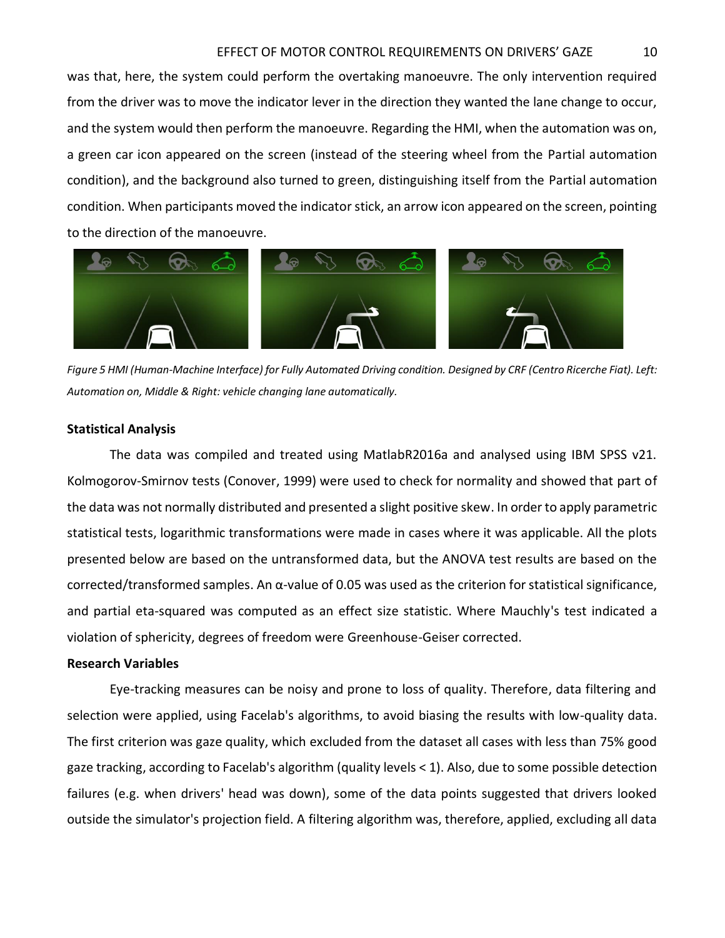## EFFECT OF MOTOR CONTROL REQUIREMENTS ON DRIVERS' GAZE 10

was that, here, the system could perform the overtaking manoeuvre. The only intervention required from the driver was to move the indicator lever in the direction they wanted the lane change to occur, and the system would then perform the manoeuvre. Regarding the HMI, when the automation was on, a green car icon appeared on the screen (instead of the steering wheel from the Partial automation condition), and the background also turned to green, distinguishing itself from the Partial automation condition. When participants moved the indicator stick, an arrow icon appeared on the screen, pointing to the direction of the manoeuvre.



*Figure 5 HMI (Human-Machine Interface) for Fully Automated Driving condition. Designed by CRF (Centro Ricerche Fiat). Left: Automation on, Middle & Right: vehicle changing lane automatically.* 

# **Statistical Analysis**

The data was compiled and treated using MatlabR2016a and analysed using IBM SPSS v21. Kolmogorov-Smirnov tests (Conover, 1999) were used to check for normality and showed that part of the data was not normally distributed and presented a slight positive skew. In order to apply parametric statistical tests, logarithmic transformations were made in cases where it was applicable. All the plots presented below are based on the untransformed data, but the ANOVA test results are based on the corrected/transformed samples. An α-value of 0.05 was used as the criterion for statistical significance, and partial eta-squared was computed as an effect size statistic. Where Mauchly's test indicated a violation of sphericity, degrees of freedom were Greenhouse-Geiser corrected.

## **Research Variables**

Eye-tracking measures can be noisy and prone to loss of quality. Therefore, data filtering and selection were applied, using Facelab's algorithms, to avoid biasing the results with low-quality data. The first criterion was gaze quality, which excluded from the dataset all cases with less than 75% good gaze tracking, according to Facelab's algorithm (quality levels < 1). Also, due to some possible detection failures (e.g. when drivers' head was down), some of the data points suggested that drivers looked outside the simulator's projection field. A filtering algorithm was, therefore, applied, excluding all data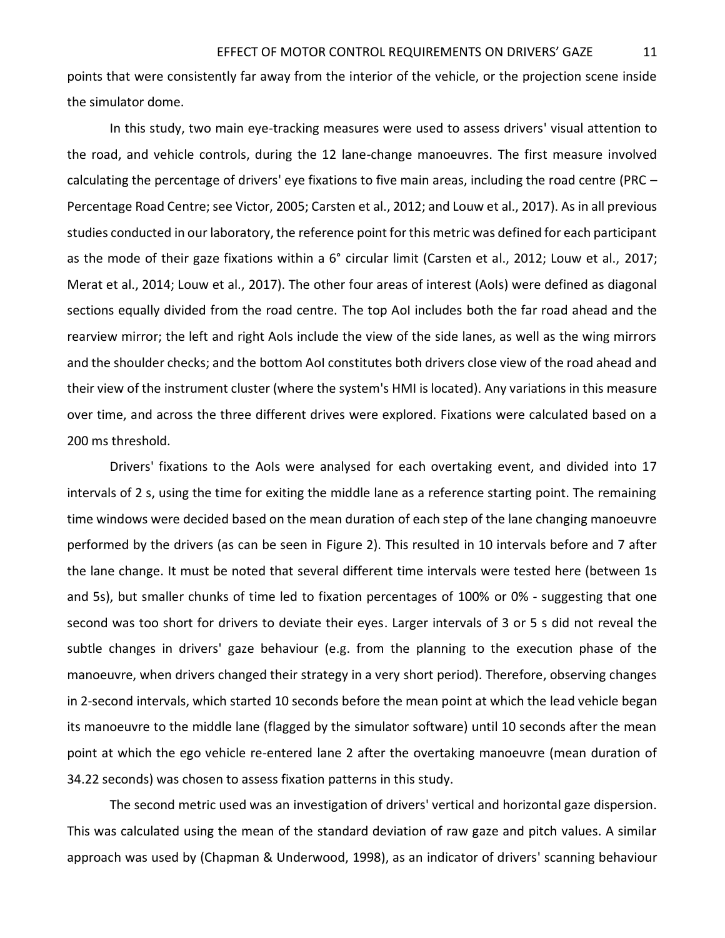points that were consistently far away from the interior of the vehicle, or the projection scene inside the simulator dome.

In this study, two main eye-tracking measures were used to assess drivers' visual attention to the road, and vehicle controls, during the 12 lane-change manoeuvres. The first measure involved calculating the percentage of drivers' eye fixations to five main areas, including the road centre (PRC – Percentage Road Centre; see Victor, 2005; Carsten et al., 2012; and Louw et al., 2017). As in all previous studies conducted in our laboratory, the reference point for this metric was defined for each participant as the mode of their gaze fixations within a 6° circular limit (Carsten et al., 2012; Louw et al., 2017; Merat et al., 2014; Louw et al., 2017). The other four areas of interest (AoIs) were defined as diagonal sections equally divided from the road centre. The top AoI includes both the far road ahead and the rearview mirror; the left and right AoIs include the view of the side lanes, as well as the wing mirrors and the shoulder checks; and the bottom AoI constitutes both drivers close view of the road ahead and their view of the instrument cluster (where the system's HMI is located). Any variations in this measure over time, and across the three different drives were explored. Fixations were calculated based on a 200 ms threshold.

Drivers' fixations to the AoIs were analysed for each overtaking event, and divided into 17 intervals of 2 s, using the time for exiting the middle lane as a reference starting point. The remaining time windows were decided based on the mean duration of each step of the lane changing manoeuvre performed by the drivers (as can be seen in [Figure 2\)](#page-8-0). This resulted in 10 intervals before and 7 after the lane change. It must be noted that several different time intervals were tested here (between 1s and 5s), but smaller chunks of time led to fixation percentages of 100% or 0% - suggesting that one second was too short for drivers to deviate their eyes. Larger intervals of 3 or 5 s did not reveal the subtle changes in drivers' gaze behaviour (e.g. from the planning to the execution phase of the manoeuvre, when drivers changed their strategy in a very short period). Therefore, observing changes in 2-second intervals, which started 10 seconds before the mean point at which the lead vehicle began its manoeuvre to the middle lane (flagged by the simulator software) until 10 seconds after the mean point at which the ego vehicle re-entered lane 2 after the overtaking manoeuvre (mean duration of 34.22 seconds) was chosen to assess fixation patterns in this study.

The second metric used was an investigation of drivers' vertical and horizontal gaze dispersion. This was calculated using the mean of the standard deviation of raw gaze and pitch values. A similar approach was used by (Chapman & Underwood, 1998), as an indicator of drivers' scanning behaviour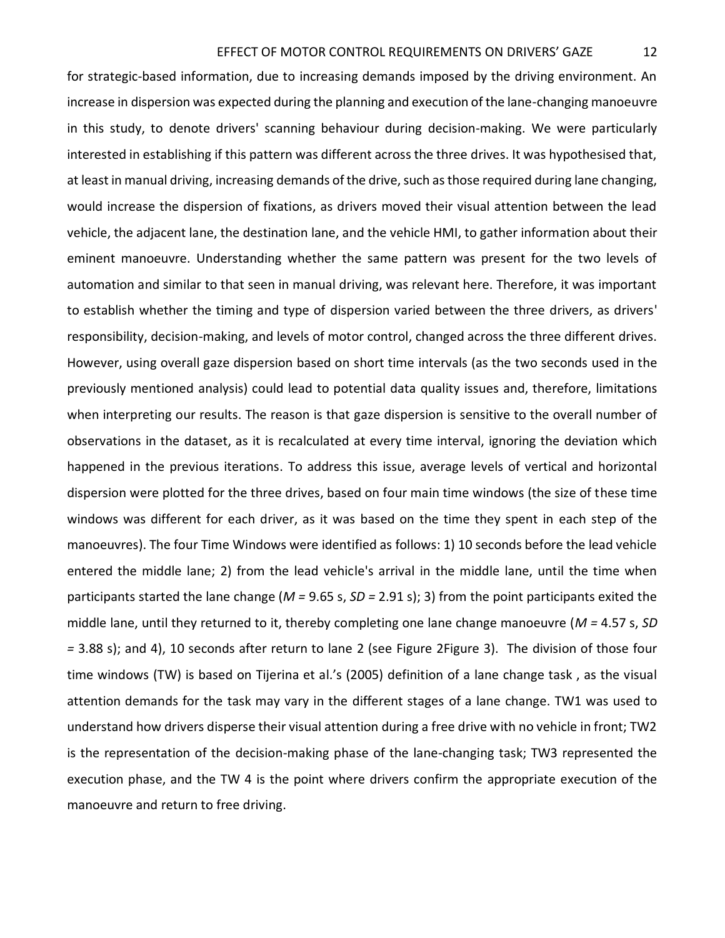for strategic-based information, due to increasing demands imposed by the driving environment. An increase in dispersion was expected during the planning and execution of the lane-changing manoeuvre in this study, to denote drivers' scanning behaviour during decision-making. We were particularly interested in establishing if this pattern was different across the three drives. It was hypothesised that, at least in manual driving, increasing demands of the drive, such as those required during lane changing, would increase the dispersion of fixations, as drivers moved their visual attention between the lead vehicle, the adjacent lane, the destination lane, and the vehicle HMI, to gather information about their eminent manoeuvre. Understanding whether the same pattern was present for the two levels of automation and similar to that seen in manual driving, was relevant here. Therefore, it was important to establish whether the timing and type of dispersion varied between the three drivers, as drivers' responsibility, decision-making, and levels of motor control, changed across the three different drives. However, using overall gaze dispersion based on short time intervals (as the two seconds used in the previously mentioned analysis) could lead to potential data quality issues and, therefore, limitations when interpreting our results. The reason is that gaze dispersion is sensitive to the overall number of observations in the dataset, as it is recalculated at every time interval, ignoring the deviation which happened in the previous iterations. To address this issue, average levels of vertical and horizontal dispersion were plotted for the three drives, based on four main time windows (the size of these time windows was different for each driver, as it was based on the time they spent in each step of the manoeuvres). The four Time Windows were identified as follows: 1) 10 seconds before the lead vehicle entered the middle lane; 2) from the lead vehicle's arrival in the middle lane, until the time when participants started the lane change (*M =* 9.65 s, *SD =* 2.91 s); 3) from the point participants exited the middle lane, until they returned to it, thereby completing one lane change manoeuvre (*M =* 4.57 s, *SD =* 3.88 s); and 4), 10 seconds after return to lane 2 (see [Figure 2Figure 3\)](#page-8-0). The division of those four time windows (TW) is based on Tijerina et al.'s (2005) definition of a lane change task , as the visual attention demands for the task may vary in the different stages of a lane change. TW1 was used to understand how drivers disperse their visual attention during a free drive with no vehicle in front; TW2 is the representation of the decision-making phase of the lane-changing task; TW3 represented the execution phase, and the TW 4 is the point where drivers confirm the appropriate execution of the manoeuvre and return to free driving.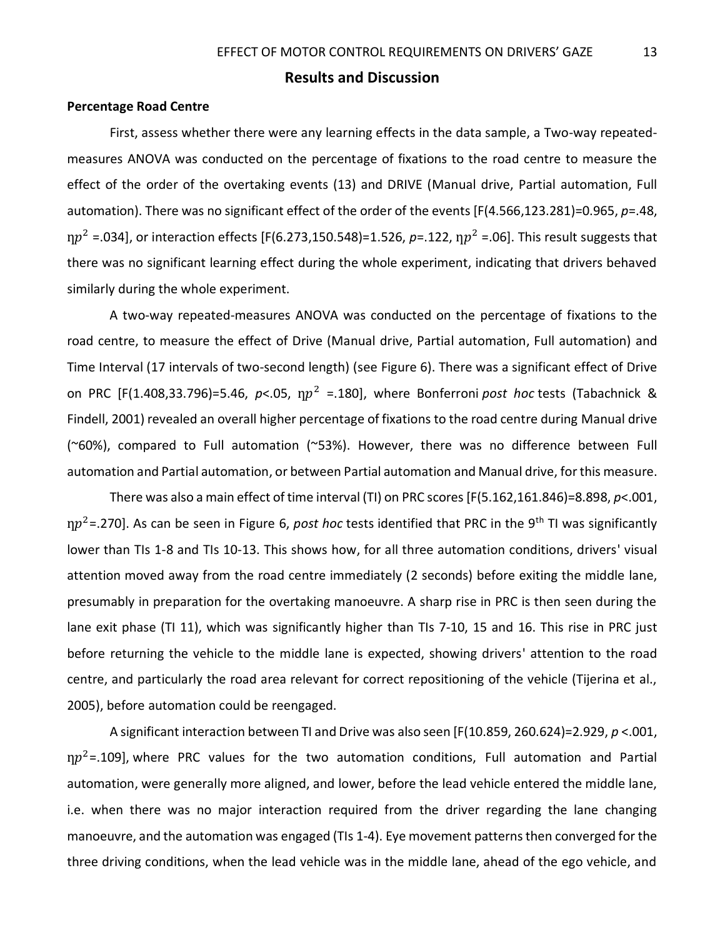# **Results and Discussion**

## <span id="page-13-0"></span>**Percentage Road Centre**

First, assess whether there were any learning effects in the data sample, a Two-way repeatedmeasures ANOVA was conducted on the percentage of fixations to the road centre to measure the effect of the order of the overtaking events (13) and DRIVE (Manual drive, Partial automation, Full automation). There was no significant effect of the order of the events [F(4.566,123.281)=0.965, *p*=.48,  $\eta p^2$  =.034], or interaction effects [F(6.273,150.548)=1.526, *p*=.122,  $\eta p^2$  =.06]. This result suggests that there was no significant learning effect during the whole experiment, indicating that drivers behaved similarly during the whole experiment.

A two-way repeated-measures ANOVA was conducted on the percentage of fixations to the road centre, to measure the effect of Drive (Manual drive, Partial automation, Full automation) and Time Interval (17 intervals of two-second length) (see [Figure 6\)](#page-14-0). There was a significant effect of Drive on PRC [F(1.408,33.796)=5.46, *p*<.05,  $np^2$  =.180], where Bonferroni *post hoc* tests (Tabachnick & Findell, 2001) revealed an overall higher percentage of fixations to the road centre during Manual drive (~60%), compared to Full automation (~53%). However, there was no difference between Full automation and Partial automation, or between Partial automation and Manual drive, for this measure.

There was also a main effect of time interval (TI) on PRC scores [F(5.162,161.846)=8.898, *p*<.001, ƞ<sup>2</sup>=.270]. As can be seen in [Figure 6,](#page-14-0) *post hoc* tests identified that PRC in the 9th TI was significantly lower than TIs 1-8 and TIs 10-13. This shows how, for all three automation conditions, drivers' visual attention moved away from the road centre immediately (2 seconds) before exiting the middle lane, presumably in preparation for the overtaking manoeuvre. A sharp rise in PRC is then seen during the lane exit phase (TI 11), which was significantly higher than TIs 7-10, 15 and 16. This rise in PRC just before returning the vehicle to the middle lane is expected, showing drivers' attention to the road centre, and particularly the road area relevant for correct repositioning of the vehicle (Tijerina et al., 2005), before automation could be reengaged.

A significant interaction between TI and Drive was also seen [F(10.859, 260.624)=2.929, *p* <.001,  $np^2$ =.109], where PRC values for the two automation conditions, Full automation and Partial automation, were generally more aligned, and lower, before the lead vehicle entered the middle lane, i.e. when there was no major interaction required from the driver regarding the lane changing manoeuvre, and the automation was engaged (TIs 1-4). Eye movement patterns then converged for the three driving conditions, when the lead vehicle was in the middle lane, ahead of the ego vehicle, and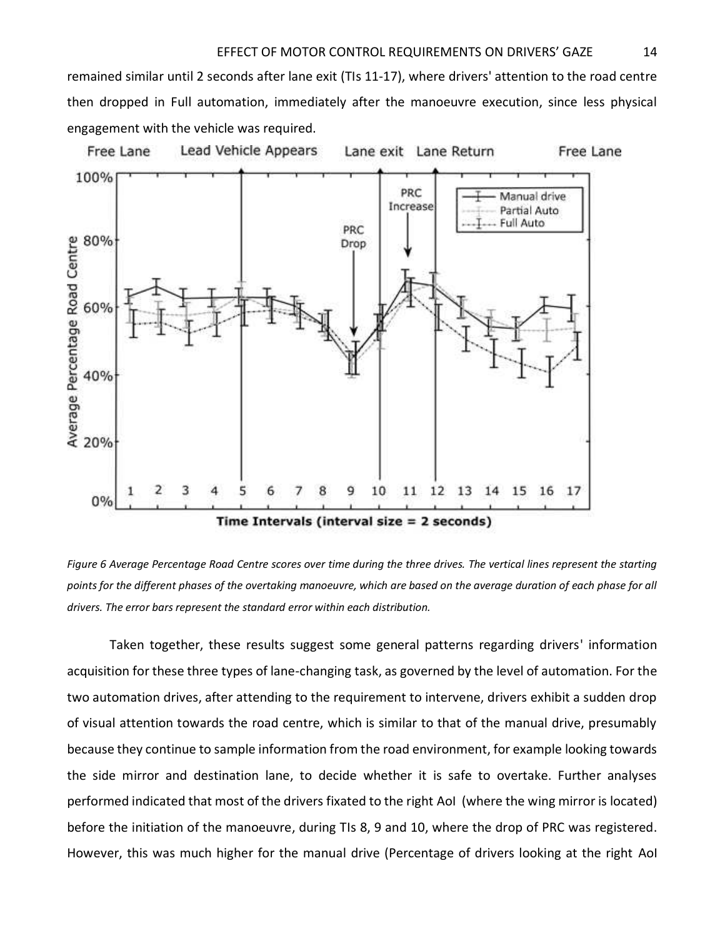remained similar until 2 seconds after lane exit (TIs 11-17), where drivers' attention to the road centre then dropped in Full automation, immediately after the manoeuvre execution, since less physical engagement with the vehicle was required.



<span id="page-14-0"></span>

Taken together, these results suggest some general patterns regarding drivers' information acquisition for these three types of lane-changing task, as governed by the level of automation. For the two automation drives, after attending to the requirement to intervene, drivers exhibit a sudden drop of visual attention towards the road centre, which is similar to that of the manual drive, presumably because they continue to sample information from the road environment, for example looking towards the side mirror and destination lane, to decide whether it is safe to overtake. Further analyses performed indicated that most of the drivers fixated to the right AoI (where the wing mirror is located) before the initiation of the manoeuvre, during TIs 8, 9 and 10, where the drop of PRC was registered. However, this was much higher for the manual drive (Percentage of drivers looking at the right AoI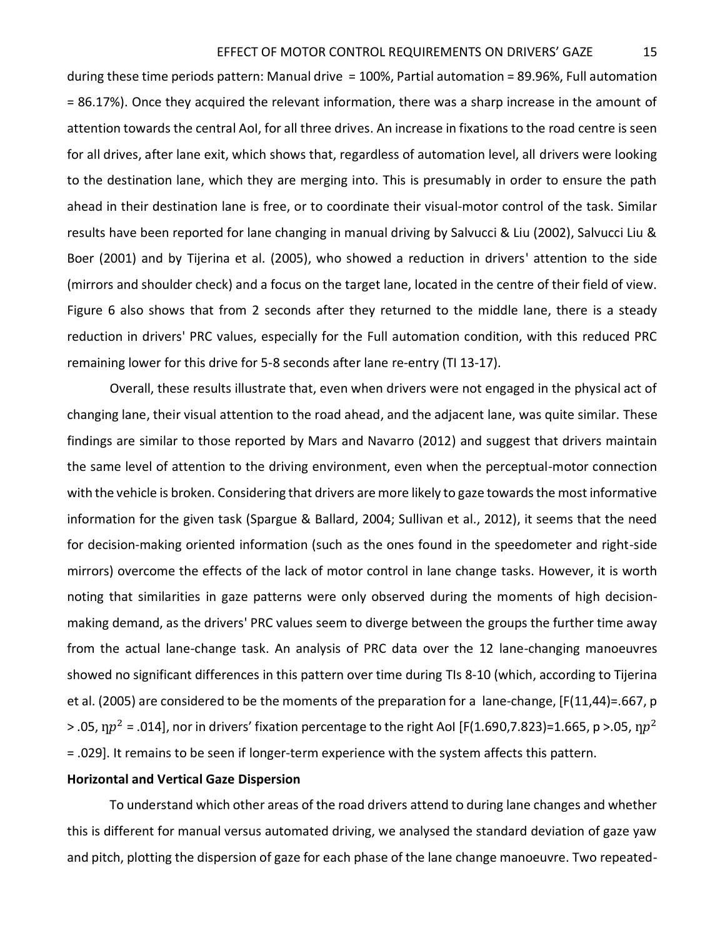during these time periods pattern: Manual drive = 100%, Partial automation = 89.96%, Full automation = 86.17%). Once they acquired the relevant information, there was a sharp increase in the amount of attention towards the central AoI, for all three drives. An increase in fixations to the road centre is seen for all drives, after lane exit, which shows that, regardless of automation level, all drivers were looking to the destination lane, which they are merging into. This is presumably in order to ensure the path ahead in their destination lane is free, or to coordinate their visual-motor control of the task. Similar results have been reported for lane changing in manual driving by Salvucci & Liu (2002), Salvucci Liu & Boer (2001) and by Tijerina et al. (2005), who showed a reduction in drivers' attention to the side (mirrors and shoulder check) and a focus on the target lane, located in the centre of their field of view. [Figure 6](#page-14-0) also shows that from 2 seconds after they returned to the middle lane, there is a steady reduction in drivers' PRC values, especially for the Full automation condition, with this reduced PRC remaining lower for this drive for 5-8 seconds after lane re-entry (TI 13-17).

Overall, these results illustrate that, even when drivers were not engaged in the physical act of changing lane, their visual attention to the road ahead, and the adjacent lane, was quite similar. These findings are similar to those reported by Mars and Navarro (2012) and suggest that drivers maintain the same level of attention to the driving environment, even when the perceptual-motor connection with the vehicle is broken. Considering that drivers are more likely to gaze towards the most informative information for the given task (Spargue & Ballard, 2004; Sullivan et al., 2012), it seems that the need for decision-making oriented information (such as the ones found in the speedometer and right-side mirrors) overcome the effects of the lack of motor control in lane change tasks. However, it is worth noting that similarities in gaze patterns were only observed during the moments of high decisionmaking demand, as the drivers' PRC values seem to diverge between the groups the further time away from the actual lane-change task. An analysis of PRC data over the 12 lane-changing manoeuvres showed no significant differences in this pattern over time during TIs 8-10 (which, according to Tijerina et al. (2005) are considered to be the moments of the preparation for a lane-change, [F(11,44)=.667, p > .05,  $np^2$  = .014], nor in drivers' fixation percentage to the right AoI [F(1.690,7.823)=1.665, p >.05,  $np^2$ = .029]. It remains to be seen if longer-term experience with the system affects this pattern.

## **Horizontal and Vertical Gaze Dispersion**

To understand which other areas of the road drivers attend to during lane changes and whether this is different for manual versus automated driving, we analysed the standard deviation of gaze yaw and pitch, plotting the dispersion of gaze for each phase of the lane change manoeuvre. Two repeated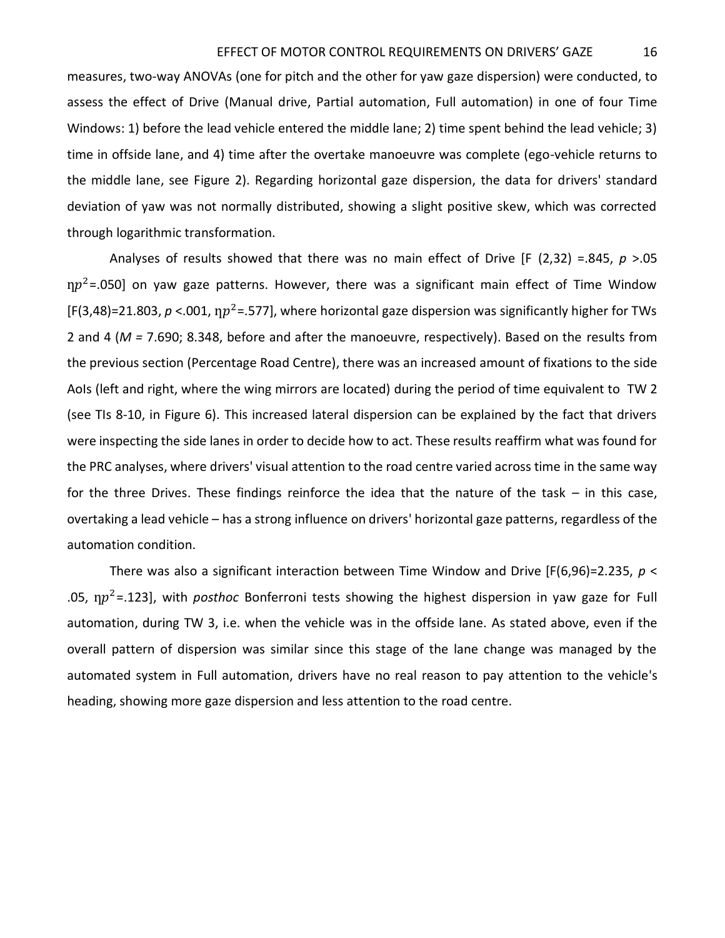measures, two-way ANOVAs (one for pitch and the other for yaw gaze dispersion) were conducted, to assess the effect of Drive (Manual drive, Partial automation, Full automation) in one of four Time Windows: 1) before the lead vehicle entered the middle lane; 2) time spent behind the lead vehicle; 3) time in offside lane, and 4) time after the overtake manoeuvre was complete (ego-vehicle returns to the middle lane, see [Figure 2\)](#page-8-0). Regarding horizontal gaze dispersion, the data for drivers' standard deviation of yaw was not normally distributed, showing a slight positive skew, which was corrected through logarithmic transformation.

Analyses of results showed that there was no main effect of Drive [F (2,32) =.845, *p* >.05  $np^2$ =.050] on yaw gaze patterns. However, there was a significant main effect of Time Window [F(3,48)=21.803,  $p < 0.001$ ,  $np^2 = 0.577$ ], where horizontal gaze dispersion was significantly higher for TWs 2 and 4 (*M =* 7.690; 8.348, before and after the manoeuvre, respectively). Based on the results from the previous section [\(Percentage Road Centre\)](#page-13-0), there was an increased amount of fixations to the side AoIs (left and right, where the wing mirrors are located) during the period of time equivalent to TW 2 (see TIs 8-10, in [Figure 6\)](#page-14-0). This increased lateral dispersion can be explained by the fact that drivers were inspecting the side lanes in order to decide how to act. These results reaffirm what was found for the PRC analyses, where drivers' visual attention to the road centre varied across time in the same way for the three Drives. These findings reinforce the idea that the nature of the task – in this case, overtaking a lead vehicle – has a strong influence on drivers' horizontal gaze patterns, regardless of the automation condition.

There was also a significant interaction between Time Window and Drive [F(6,96)=2.235, *p* < .05, ƞ<sup>2</sup>=.123], with *posthoc* Bonferroni tests showing the highest dispersion in yaw gaze for Full automation, during TW 3, i.e. when the vehicle was in the offside lane. As stated above, even if the overall pattern of dispersion was similar since this stage of the lane change was managed by the automated system in Full automation, drivers have no real reason to pay attention to the vehicle's heading, showing more gaze dispersion and less attention to the road centre.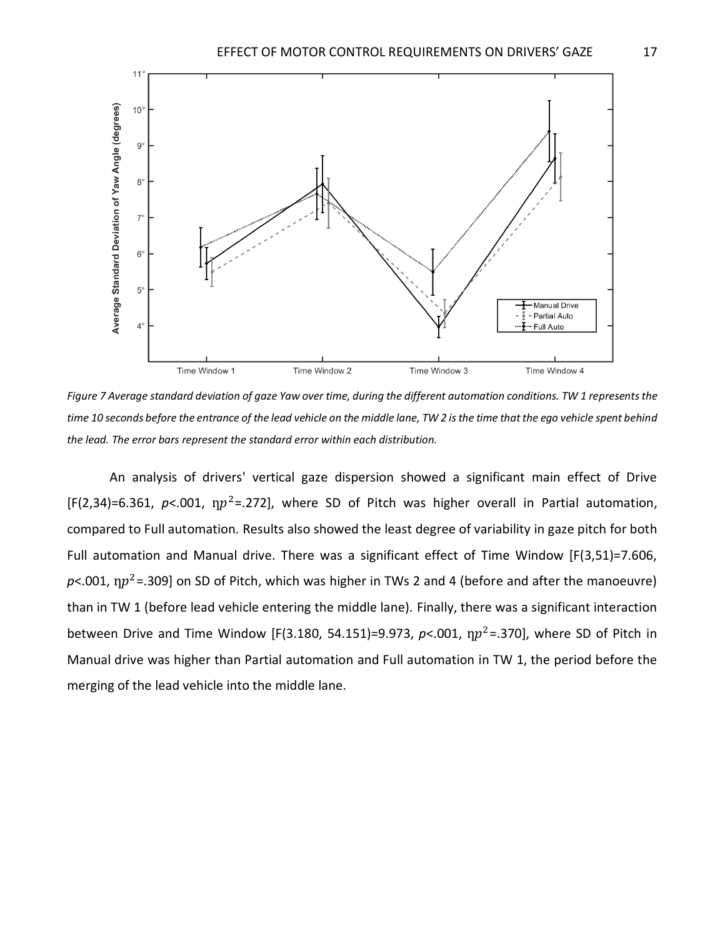

*Figure 7 Average standard deviation of gaze Yaw over time, during the different automation conditions. TW 1 represents the time 10 seconds before the entrance of the lead vehicle on the middle lane, TW 2 is the time that the ego vehicle spent behind the lead. The error bars represent the standard error within each distribution.* 

An analysis of drivers' vertical gaze dispersion showed a significant main effect of Drive [F(2,34)=6.361,  $p$ <.001,  $np^2$ =.272], where SD of Pitch was higher overall in Partial automation, compared to Full automation. Results also showed the least degree of variability in gaze pitch for both Full automation and Manual drive. There was a significant effect of Time Window [F(3,51)=7.606,  $p$ <.001,  $np^2$ =.309] on SD of Pitch, which was higher in TWs 2 and 4 (before and after the manoeuvre) than in TW 1 (before lead vehicle entering the middle lane). Finally, there was a significant interaction between Drive and Time Window [F(3.180, 54.151)=9.973,  $p<0.01$ ,  $np^2$ =.370], where SD of Pitch in Manual drive was higher than Partial automation and Full automation in TW 1, the period before the merging of the lead vehicle into the middle lane.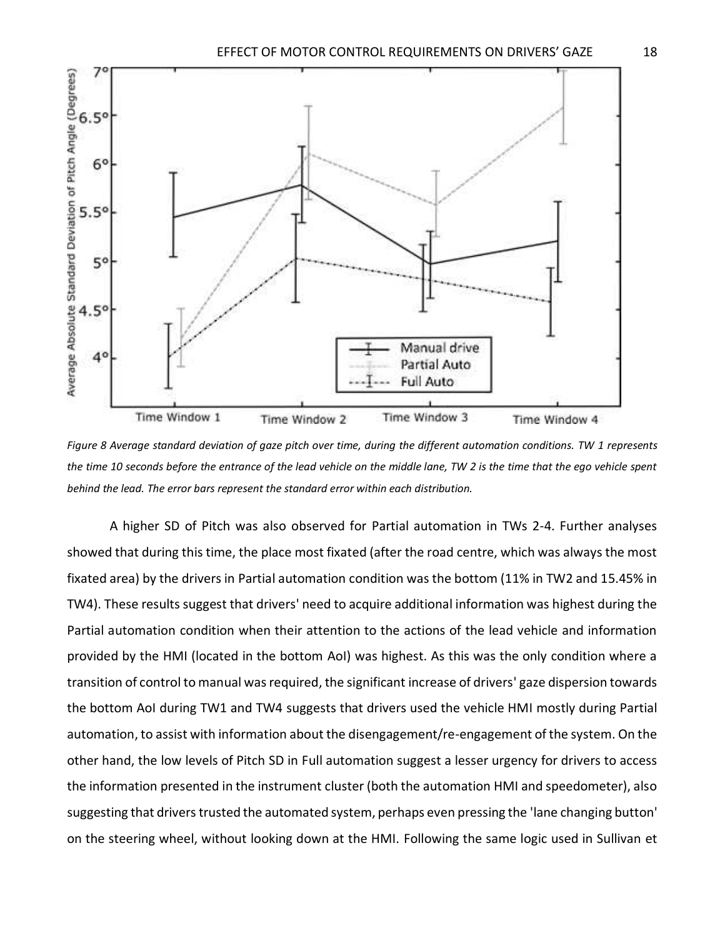

<span id="page-18-0"></span>*Figure 8 Average standard deviation of gaze pitch over time, during the different automation conditions. TW 1 represents the time 10 seconds before the entrance of the lead vehicle on the middle lane, TW 2 is the time that the ego vehicle spent behind the lead. The error bars represent the standard error within each distribution.* 

A higher SD of Pitch was also observed for Partial automation in TWs 2-4. Further analyses showed that during this time, the place most fixated (after the road centre, which was always the most fixated area) by the drivers in Partial automation condition was the bottom (11% in TW2 and 15.45% in TW4). These results suggest that drivers' need to acquire additional information was highest during the Partial automation condition when their attention to the actions of the lead vehicle and information provided by the HMI (located in the bottom AoI) was highest. As this was the only condition where a transition of control to manual was required, the significant increase of drivers' gaze dispersion towards the bottom AoI during TW1 and TW4 suggests that drivers used the vehicle HMI mostly during Partial automation, to assist with information about the disengagement/re-engagement of the system. On the other hand, the low levels of Pitch SD in Full automation suggest a lesser urgency for drivers to access the information presented in the instrument cluster (both the automation HMI and speedometer), also suggesting that drivers trusted the automated system, perhaps even pressing the 'lane changing button' on the steering wheel, without looking down at the HMI. Following the same logic used in Sullivan et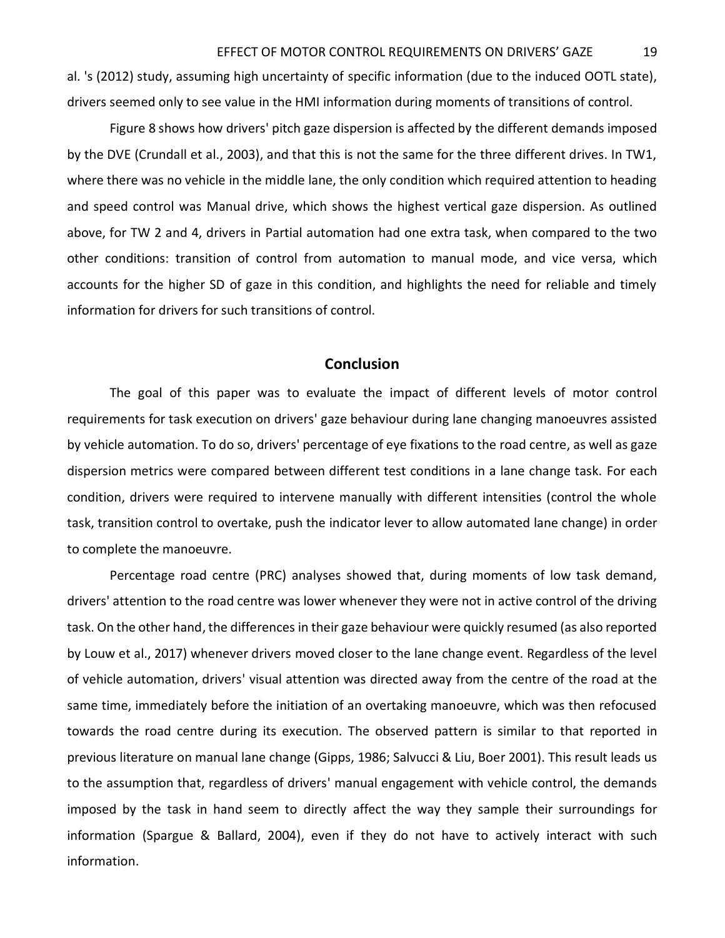al. 's (2012) study, assuming high uncertainty of specific information (due to the induced OOTL state), drivers seemed only to see value in the HMI information during moments of transitions of control.

[Figure 8 s](#page-18-0)hows how drivers' pitch gaze dispersion is affected by the different demands imposed by the DVE (Crundall et al., 2003), and that this is not the same for the three different drives. In TW1, where there was no vehicle in the middle lane, the only condition which required attention to heading and speed control was Manual drive, which shows the highest vertical gaze dispersion. As outlined above, for TW 2 and 4, drivers in Partial automation had one extra task, when compared to the two other conditions: transition of control from automation to manual mode, and vice versa, which accounts for the higher SD of gaze in this condition, and highlights the need for reliable and timely information for drivers for such transitions of control.

# **Conclusion**

The goal of this paper was to evaluate the impact of different levels of motor control requirements for task execution on drivers' gaze behaviour during lane changing manoeuvres assisted by vehicle automation. To do so, drivers' percentage of eye fixations to the road centre, as well as gaze dispersion metrics were compared between different test conditions in a lane change task. For each condition, drivers were required to intervene manually with different intensities (control the whole task, transition control to overtake, push the indicator lever to allow automated lane change) in order to complete the manoeuvre.

Percentage road centre (PRC) analyses showed that, during moments of low task demand, drivers' attention to the road centre was lower whenever they were not in active control of the driving task. On the other hand, the differences in their gaze behaviour were quickly resumed (as also reported by Louw et al., 2017) whenever drivers moved closer to the lane change event. Regardless of the level of vehicle automation, drivers' visual attention was directed away from the centre of the road at the same time, immediately before the initiation of an overtaking manoeuvre, which was then refocused towards the road centre during its execution. The observed pattern is similar to that reported in previous literature on manual lane change (Gipps, 1986; Salvucci & Liu, Boer 2001). This result leads us to the assumption that, regardless of drivers' manual engagement with vehicle control, the demands imposed by the task in hand seem to directly affect the way they sample their surroundings for information (Spargue & Ballard, 2004), even if they do not have to actively interact with such information.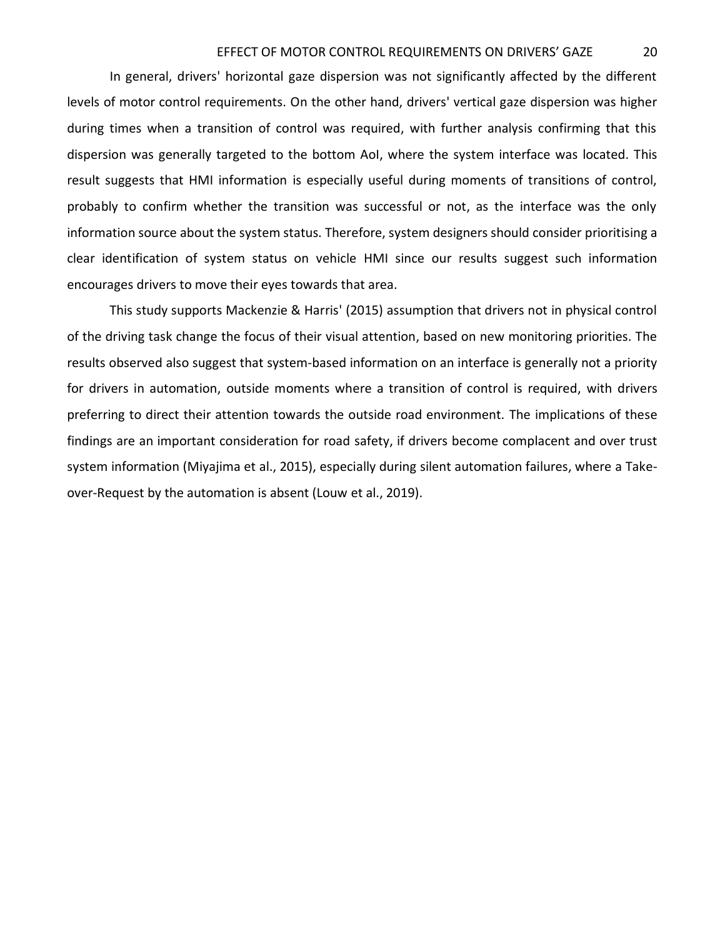## EFFECT OF MOTOR CONTROL REQUIREMENTS ON DRIVERS' GAZE 20

In general, drivers' horizontal gaze dispersion was not significantly affected by the different levels of motor control requirements. On the other hand, drivers' vertical gaze dispersion was higher during times when a transition of control was required, with further analysis confirming that this dispersion was generally targeted to the bottom AoI, where the system interface was located. This result suggests that HMI information is especially useful during moments of transitions of control, probably to confirm whether the transition was successful or not, as the interface was the only information source about the system status. Therefore, system designers should consider prioritising a clear identification of system status on vehicle HMI since our results suggest such information encourages drivers to move their eyes towards that area.

This study supports Mackenzie & Harris' (2015) assumption that drivers not in physical control of the driving task change the focus of their visual attention, based on new monitoring priorities. The results observed also suggest that system-based information on an interface is generally not a priority for drivers in automation, outside moments where a transition of control is required, with drivers preferring to direct their attention towards the outside road environment. The implications of these findings are an important consideration for road safety, if drivers become complacent and over trust system information (Miyajima et al., 2015), especially during silent automation failures, where a Takeover-Request by the automation is absent (Louw et al., 2019).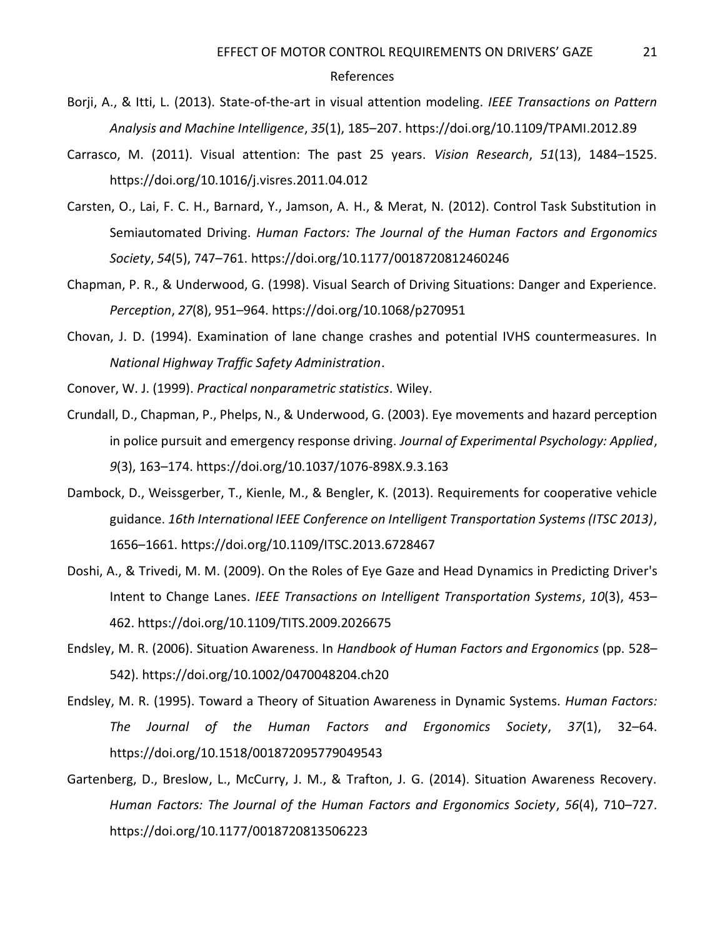#### References

- Borji, A., & Itti, L. (2013). State-of-the-art in visual attention modeling. *IEEE Transactions on Pattern Analysis and Machine Intelligence*, *35*(1), 185–207. https://doi.org/10.1109/TPAMI.2012.89
- Carrasco, M. (2011). Visual attention: The past 25 years. *Vision Research*, *51*(13), 1484–1525. https://doi.org/10.1016/j.visres.2011.04.012
- Carsten, O., Lai, F. C. H., Barnard, Y., Jamson, A. H., & Merat, N. (2012). Control Task Substitution in Semiautomated Driving. *Human Factors: The Journal of the Human Factors and Ergonomics Society*, *54*(5), 747–761. https://doi.org/10.1177/0018720812460246
- Chapman, P. R., & Underwood, G. (1998). Visual Search of Driving Situations: Danger and Experience. *Perception*, *27*(8), 951–964. https://doi.org/10.1068/p270951
- Chovan, J. D. (1994). Examination of lane change crashes and potential IVHS countermeasures. In *National Highway Traffic Safety Administration*.
- Conover, W. J. (1999). *Practical nonparametric statistics*. Wiley.
- Crundall, D., Chapman, P., Phelps, N., & Underwood, G. (2003). Eye movements and hazard perception in police pursuit and emergency response driving. *Journal of Experimental Psychology: Applied*, *9*(3), 163–174. https://doi.org/10.1037/1076-898X.9.3.163
- Dambock, D., Weissgerber, T., Kienle, M., & Bengler, K. (2013). Requirements for cooperative vehicle guidance. *16th International IEEE Conference on Intelligent Transportation Systems (ITSC 2013)*, 1656–1661. https://doi.org/10.1109/ITSC.2013.6728467
- Doshi, A., & Trivedi, M. M. (2009). On the Roles of Eye Gaze and Head Dynamics in Predicting Driver's Intent to Change Lanes. *IEEE Transactions on Intelligent Transportation Systems*, *10*(3), 453– 462. https://doi.org/10.1109/TITS.2009.2026675
- Endsley, M. R. (2006). Situation Awareness. In *Handbook of Human Factors and Ergonomics* (pp. 528– 542). https://doi.org/10.1002/0470048204.ch20
- Endsley, M. R. (1995). Toward a Theory of Situation Awareness in Dynamic Systems. *Human Factors: The Journal of the Human Factors and Ergonomics Society*, *37*(1), 32–64. https://doi.org/10.1518/001872095779049543
- Gartenberg, D., Breslow, L., McCurry, J. M., & Trafton, J. G. (2014). Situation Awareness Recovery. *Human Factors: The Journal of the Human Factors and Ergonomics Society*, *56*(4), 710–727. https://doi.org/10.1177/0018720813506223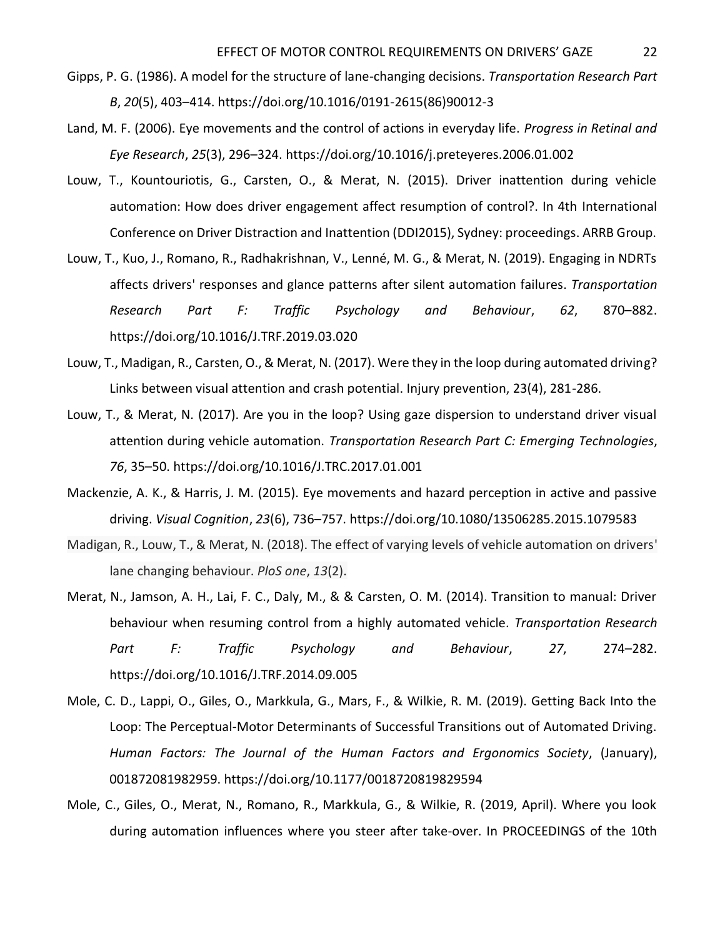- Gipps, P. G. (1986). A model for the structure of lane-changing decisions. *Transportation Research Part B*, *20*(5), 403–414. https://doi.org/10.1016/0191-2615(86)90012-3
- Land, M. F. (2006). Eye movements and the control of actions in everyday life. *Progress in Retinal and Eye Research*, *25*(3), 296–324. https://doi.org/10.1016/j.preteyeres.2006.01.002
- Louw, T., Kountouriotis, G., Carsten, O., & Merat, N. (2015). Driver inattention during vehicle automation: How does driver engagement affect resumption of control?. In 4th International Conference on Driver Distraction and Inattention (DDI2015), Sydney: proceedings. ARRB Group.
- Louw, T., Kuo, J., Romano, R., Radhakrishnan, V., Lenné, M. G., & Merat, N. (2019). Engaging in NDRTs affects drivers' responses and glance patterns after silent automation failures. *Transportation Research Part F: Traffic Psychology and Behaviour*, *62*, 870–882. https://doi.org/10.1016/J.TRF.2019.03.020
- Louw, T., Madigan, R., Carsten, O., & Merat, N. (2017). Were they in the loop during automated driving? Links between visual attention and crash potential. Injury prevention, 23(4), 281-286.
- Louw, T., & Merat, N. (2017). Are you in the loop? Using gaze dispersion to understand driver visual attention during vehicle automation. *Transportation Research Part C: Emerging Technologies*, *76*, 35–50. https://doi.org/10.1016/J.TRC.2017.01.001
- Mackenzie, A. K., & Harris, J. M. (2015). Eye movements and hazard perception in active and passive driving. *Visual Cognition*, *23*(6), 736–757. https://doi.org/10.1080/13506285.2015.1079583
- Madigan, R., Louw, T., & Merat, N. (2018). The effect of varying levels of vehicle automation on drivers' lane changing behaviour. *PloS one*, *13*(2).
- Merat, N., Jamson, A. H., Lai, F. C., Daly, M., & & Carsten, O. M. (2014). Transition to manual: Driver behaviour when resuming control from a highly automated vehicle. *Transportation Research Part F: Traffic Psychology and Behaviour*, *27*, 274–282. https://doi.org/10.1016/J.TRF.2014.09.005
- Mole, C. D., Lappi, O., Giles, O., Markkula, G., Mars, F., & Wilkie, R. M. (2019). Getting Back Into the Loop: The Perceptual-Motor Determinants of Successful Transitions out of Automated Driving. *Human Factors: The Journal of the Human Factors and Ergonomics Society*, (January), 001872081982959. https://doi.org/10.1177/0018720819829594
- Mole, C., Giles, O., Merat, N., Romano, R., Markkula, G., & Wilkie, R. (2019, April). Where you look during automation influences where you steer after take-over. In PROCEEDINGS of the 10th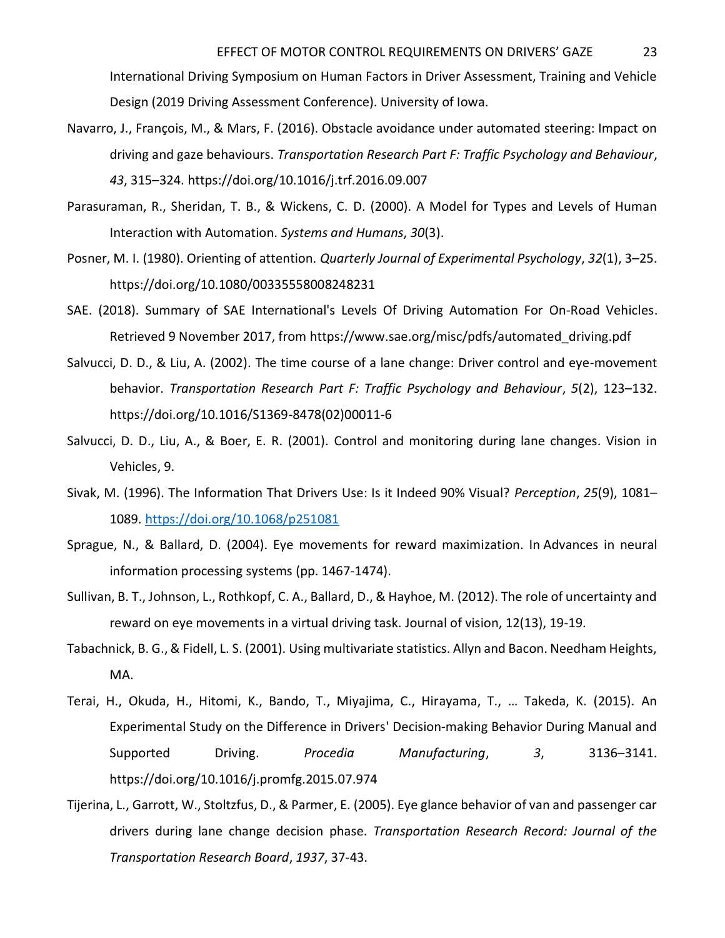International Driving Symposium on Human Factors in Driver Assessment, Training and Vehicle Design (2019 Driving Assessment Conference). University of Iowa.

- Navarro, J., François, M., & Mars, F. (2016). Obstacle avoidance under automated steering: Impact on driving and gaze behaviours. *Transportation Research Part F: Traffic Psychology and Behaviour*, *43*, 315–324. https://doi.org/10.1016/j.trf.2016.09.007
- Parasuraman, R., Sheridan, T. B., & Wickens, C. D. (2000). A Model for Types and Levels of Human Interaction with Automation. *Systems and Humans*, *30*(3).
- Posner, M. I. (1980). Orienting of attention. *Quarterly Journal of Experimental Psychology*, *32*(1), 3–25. https://doi.org/10.1080/00335558008248231
- SAE. (2018). Summary of SAE International's Levels Of Driving Automation For On-Road Vehicles. Retrieved 9 November 2017, from https://www.sae.org/misc/pdfs/automated\_driving.pdf
- Salvucci, D. D., & Liu, A. (2002). The time course of a lane change: Driver control and eye-movement behavior. *Transportation Research Part F: Traffic Psychology and Behaviour*, *5*(2), 123–132. https://doi.org/10.1016/S1369-8478(02)00011-6
- Salvucci, D. D., Liu, A., & Boer, E. R. (2001). Control and monitoring during lane changes. Vision in Vehicles, 9.
- Sivak, M. (1996). The Information That Drivers Use: Is it Indeed 90% Visual? *Perception*, *25*(9), 1081– 1089.<https://doi.org/10.1068/p251081>
- Sprague, N., & Ballard, D. (2004). Eye movements for reward maximization. In Advances in neural information processing systems (pp. 1467-1474).
- Sullivan, B. T., Johnson, L., Rothkopf, C. A., Ballard, D., & Hayhoe, M. (2012). The role of uncertainty and reward on eye movements in a virtual driving task. Journal of vision, 12(13), 19-19.
- Tabachnick, B. G., & Fidell, L. S. (2001). Using multivariate statistics. Allyn and Bacon. Needham Heights, MA.
- Terai, H., Okuda, H., Hitomi, K., Bando, T., Miyajima, C., Hirayama, T., … Takeda, K. (2015). An Experimental Study on the Difference in Drivers' Decision-making Behavior During Manual and Supported Driving. *Procedia Manufacturing*, *3*, 3136–3141. https://doi.org/10.1016/j.promfg.2015.07.974
- Tijerina, L., Garrott, W., Stoltzfus, D., & Parmer, E. (2005). Eye glance behavior of van and passenger car drivers during lane change decision phase. *Transportation Research Record: Journal of the Transportation Research Board*, *1937*, 37-43.